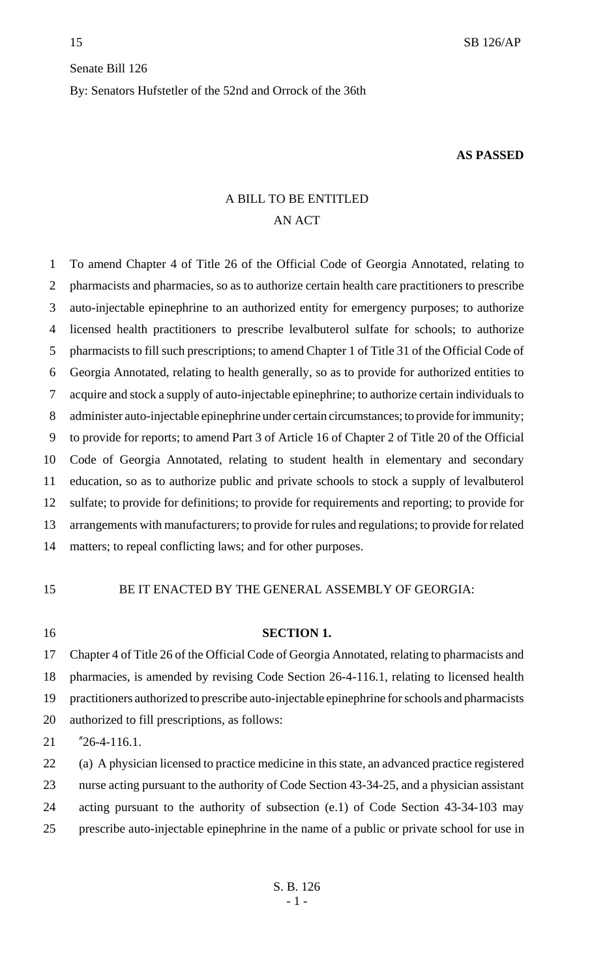# Senate Bill 126 By: Senators Hufstetler of the 52nd and Orrock of the 36th

#### **AS PASSED**

## A BILL TO BE ENTITLED AN ACT

 To amend Chapter 4 of Title 26 of the Official Code of Georgia Annotated, relating to pharmacists and pharmacies, so as to authorize certain health care practitioners to prescribe auto-injectable epinephrine to an authorized entity for emergency purposes; to authorize licensed health practitioners to prescribe levalbuterol sulfate for schools; to authorize pharmacists to fill such prescriptions; to amend Chapter 1 of Title 31 of the Official Code of Georgia Annotated, relating to health generally, so as to provide for authorized entities to acquire and stock a supply of auto-injectable epinephrine; to authorize certain individuals to administer auto-injectable epinephrine under certain circumstances; to provide for immunity; to provide for reports; to amend Part 3 of Article 16 of Chapter 2 of Title 20 of the Official Code of Georgia Annotated, relating to student health in elementary and secondary education, so as to authorize public and private schools to stock a supply of levalbuterol sulfate; to provide for definitions; to provide for requirements and reporting; to provide for arrangements with manufacturers; to provide for rules and regulations; to provide for related matters; to repeal conflicting laws; and for other purposes.

## BE IT ENACTED BY THE GENERAL ASSEMBLY OF GEORGIA:

#### **SECTION 1.**

 Chapter 4 of Title 26 of the Official Code of Georgia Annotated, relating to pharmacists and pharmacies, is amended by revising Code Section 26-4-116.1, relating to licensed health practitioners authorized to prescribe auto-injectable epinephrine for schools and pharmacists authorized to fill prescriptions, as follows:

"26-4-116.1.

 (a) A physician licensed to practice medicine in this state, an advanced practice registered nurse acting pursuant to the authority of Code Section 43-34-25, and a physician assistant acting pursuant to the authority of subsection (e.1) of Code Section 43-34-103 may prescribe auto-injectable epinephrine in the name of a public or private school for use in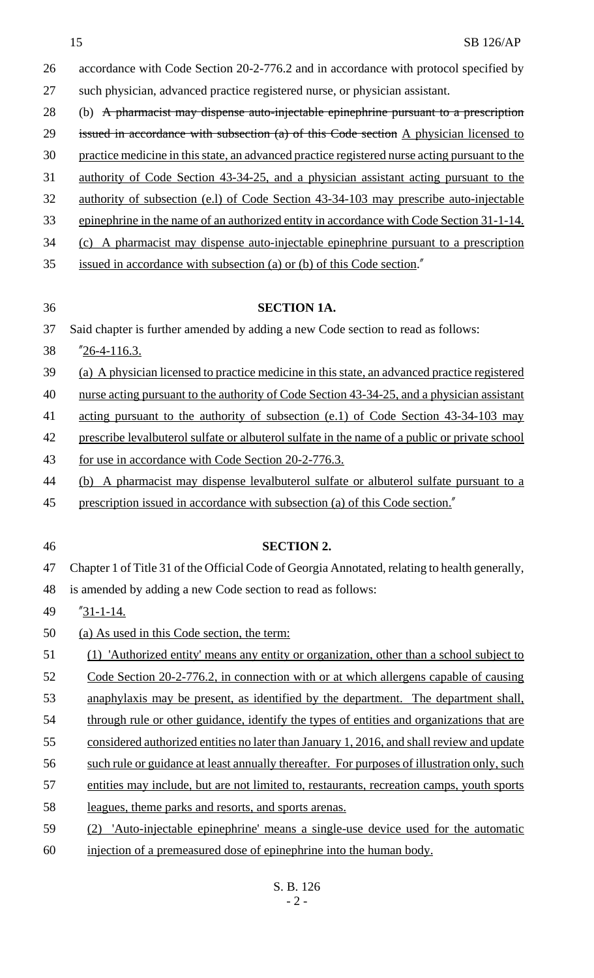- accordance with Code Section 20-2-776.2 and in accordance with protocol specified by such physician, advanced practice registered nurse, or physician assistant.
- 28 (b) A pharmacist may dispense auto-injectable epinephrine pursuant to a prescription
- 29 issued in accordance with subsection  $(a)$  of this Code section A physician licensed to
- practice medicine in this state, an advanced practice registered nurse acting pursuant to the
- authority of Code Section 43-34-25, and a physician assistant acting pursuant to the
- authority of subsection (e.l) of Code Section 43-34-103 may prescribe auto-injectable
- 33 epinephrine in the name of an authorized entity in accordance with Code Section 31-1-14.
- (c) A pharmacist may dispense auto-injectable epinephrine pursuant to a prescription
- issued in accordance with subsection (a) or (b) of this Code section."
- 

## **SECTION 1A.**

- Said chapter is further amended by adding a new Code section to read as follows:
- "26-4-116.3.
- (a) A physician licensed to practice medicine in this state, an advanced practice registered
- 40 nurse acting pursuant to the authority of Code Section 43-34-25, and a physician assistant
- acting pursuant to the authority of subsection (e.1) of Code Section 43-34-103 may
- prescribe levalbuterol sulfate or albuterol sulfate in the name of a public or private school
- 43 for use in accordance with Code Section 20-2-776.3.
- (b) A pharmacist may dispense levalbuterol sulfate or albuterol sulfate pursuant to a
- prescription issued in accordance with subsection (a) of this Code section."
- 

## **SECTION 2.**

Chapter 1 of Title 31 of the Official Code of Georgia Annotated, relating to health generally,

is amended by adding a new Code section to read as follows:

- "31-1-14.
- (a) As used in this Code section, the term:
- (1) 'Authorized entity' means any entity or organization, other than a school subject to
- 52 Code Section 20-2-776.2, in connection with or at which allergens capable of causing
- anaphylaxis may be present, as identified by the department. The department shall,
- 54 through rule or other guidance, identify the types of entities and organizations that are
- 55 considered authorized entities no later than January 1, 2016, and shall review and update
- such rule or guidance at least annually thereafter. For purposes of illustration only, such
- entities may include, but are not limited to, restaurants, recreation camps, youth sports
- leagues, theme parks and resorts, and sports arenas.
- (2) 'Auto-injectable epinephrine' means a single-use device used for the automatic injection of a premeasured dose of epinephrine into the human body.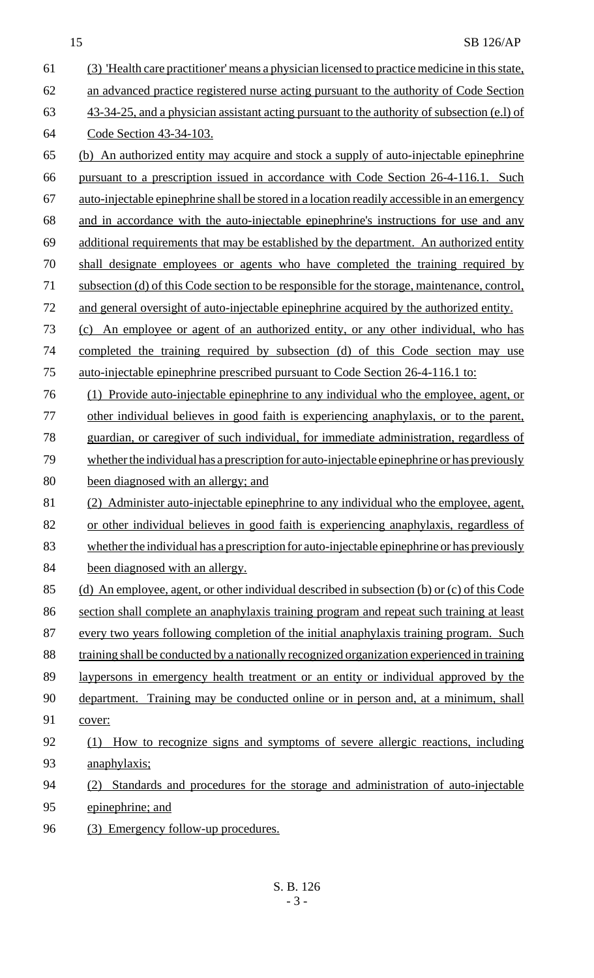#### 15 SB 126/AP

 (3) 'Health care practitioner' means a physician licensed to practice medicine in this state, 62 an advanced practice registered nurse acting pursuant to the authority of Code Section 43-34-25, and a physician assistant acting pursuant to the authority of subsection (e.l) of Code Section 43-34-103. (b) An authorized entity may acquire and stock a supply of auto-injectable epinephrine pursuant to a prescription issued in accordance with Code Section 26-4-116.1. Such auto-injectable epinephrine shall be stored in a location readily accessible in an emergency and in accordance with the auto-injectable epinephrine's instructions for use and any additional requirements that may be established by the department. An authorized entity shall designate employees or agents who have completed the training required by 71 subsection (d) of this Code section to be responsible for the storage, maintenance, control, 72 and general oversight of auto-injectable epinephrine acquired by the authorized entity. (c) An employee or agent of an authorized entity, or any other individual, who has completed the training required by subsection (d) of this Code section may use auto-injectable epinephrine prescribed pursuant to Code Section 26-4-116.1 to: (1) Provide auto-injectable epinephrine to any individual who the employee, agent, or other individual believes in good faith is experiencing anaphylaxis, or to the parent, guardian, or caregiver of such individual, for immediate administration, regardless of 79 whether the individual has a prescription for auto-injectable epinephrine or has previously been diagnosed with an allergy; and (2) Administer auto-injectable epinephrine to any individual who the employee, agent, or other individual believes in good faith is experiencing anaphylaxis, regardless of 83 whether the individual has a prescription for auto-injectable epinephrine or has previously 84 been diagnosed with an allergy. (d) An employee, agent, or other individual described in subsection (b) or (c) of this Code 86 section shall complete an anaphylaxis training program and repeat such training at least 87 every two years following completion of the initial anaphylaxis training program. Such 88 training shall be conducted by a nationally recognized organization experienced in training 89 laypersons in emergency health treatment or an entity or individual approved by the department. Training may be conducted online or in person and, at a minimum, shall cover: (1) How to recognize signs and symptoms of severe allergic reactions, including 93 anaphylaxis; (2) Standards and procedures for the storage and administration of auto-injectable epinephrine; and 96 (3) Emergency follow-up procedures.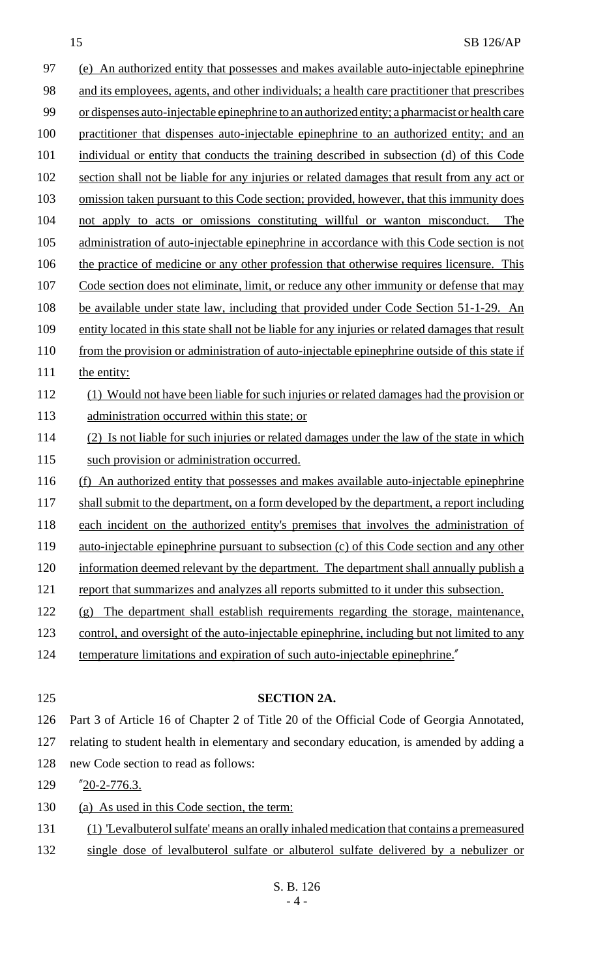#### 15 SB 126/AP

97 (e) An authorized entity that possesses and makes available auto-injectable epinephrine 98 and its employees, agents, and other individuals; a health care practitioner that prescribes 99 or dispenses auto-injectable epinephrine to an authorized entity; a pharmacist or health care 100 practitioner that dispenses auto-injectable epinephrine to an authorized entity; and an 101 individual or entity that conducts the training described in subsection (d) of this Code 102 section shall not be liable for any injuries or related damages that result from any act or 103 omission taken pursuant to this Code section; provided, however, that this immunity does 104 not apply to acts or omissions constituting willful or wanton misconduct. The 105 administration of auto-injectable epinephrine in accordance with this Code section is not 106 the practice of medicine or any other profession that otherwise requires licensure. This 107 Code section does not eliminate, limit, or reduce any other immunity or defense that may 108 be available under state law, including that provided under Code Section 51-1-29. An 109 entity located in this state shall not be liable for any injuries or related damages that result 110 from the provision or administration of auto-injectable epinephrine outside of this state if 111 the entity: 112 (1) Would not have been liable for such injuries or related damages had the provision or 113 administration occurred within this state; or 114 (2) Is not liable for such injuries or related damages under the law of the state in which 115 such provision or administration occurred. 116 (f) An authorized entity that possesses and makes available auto-injectable epinephrine 117 shall submit to the department, on a form developed by the department, a report including 118 each incident on the authorized entity's premises that involves the administration of 119 auto-injectable epinephrine pursuant to subsection (c) of this Code section and any other 120 information deemed relevant by the department. The department shall annually publish a 121 report that summarizes and analyzes all reports submitted to it under this subsection. 122 (g) The department shall establish requirements regarding the storage, maintenance, 123 control, and oversight of the auto-injectable epinephrine, including but not limited to any 124 temperature limitations and expiration of such auto-injectable epinephrine. 125 **SECTION 2A.** 126 Part 3 of Article 16 of Chapter 2 of Title 20 of the Official Code of Georgia Annotated, 127 relating to student health in elementary and secondary education, is amended by adding a 128 new Code section to read as follows: 129 "20-2-776.3. 130 (a) As used in this Code section, the term:

- 131 (1) 'Levalbuterol sulfate' means an orally inhaled medication that contains a premeasured
- 132 single dose of levalbuterol sulfate or albuterol sulfate delivered by a nebulizer or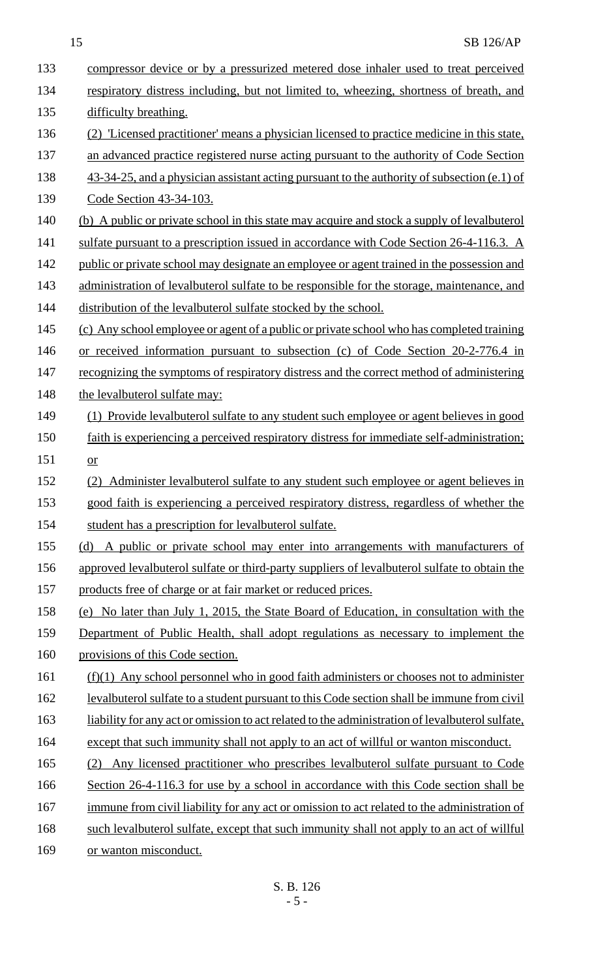| 133 | compressor device or by a pressurized metered dose inhaler used to treat perceived                |
|-----|---------------------------------------------------------------------------------------------------|
| 134 | respiratory distress including, but not limited to, wheezing, shortness of breath, and            |
| 135 | difficulty breathing.                                                                             |
| 136 | (2) 'Licensed practitioner' means a physician licensed to practice medicine in this state,        |
| 137 | an advanced practice registered nurse acting pursuant to the authority of Code Section            |
| 138 | 43-34-25, and a physician assistant acting pursuant to the authority of subsection (e.1) of       |
| 139 | Code Section 43-34-103.                                                                           |
| 140 | (b) A public or private school in this state may acquire and stock a supply of levalbuterol       |
| 141 | sulfate pursuant to a prescription issued in accordance with Code Section 26-4-116.3. A           |
| 142 | public or private school may designate an employee or agent trained in the possession and         |
| 143 | administration of levalbuterol sulfate to be responsible for the storage, maintenance, and        |
| 144 | distribution of the leval butter ol sulfate stocked by the school.                                |
| 145 | (c) Any school employee or agent of a public or private school who has completed training         |
| 146 | or received information pursuant to subsection (c) of Code Section 20-2-776.4 in                  |
| 147 | recognizing the symptoms of respiratory distress and the correct method of administering          |
| 148 | the levalbuterol sulfate may:                                                                     |
| 149 | (1) Provide leval butter of sulfate to any student such employee or agent believes in good        |
| 150 | faith is experiencing a perceived respiratory distress for immediate self-administration;         |
| 151 | or                                                                                                |
| 152 | Administer levalbuterol sulfate to any student such employee or agent believes in<br>(2)          |
| 153 | good faith is experiencing a perceived respiratory distress, regardless of whether the            |
| 154 | student has a prescription for levalbuterol sulfate.                                              |
| 155 | (d) A public or private school may enter into arrangements with manufacturers of                  |
| 156 | approved levalbuterol sulfate or third-party suppliers of levalbuterol sulfate to obtain the      |
| 157 | products free of charge or at fair market or reduced prices.                                      |
| 158 | (e) No later than July 1, 2015, the State Board of Education, in consultation with the            |
| 159 | Department of Public Health, shall adopt regulations as necessary to implement the                |
| 160 | provisions of this Code section.                                                                  |
| 161 | $(f)(1)$ Any school personnel who in good faith administers or chooses not to administer          |
| 162 | <u>levalbuterol sulfate to a student pursuant to this Code section shall be immune from civil</u> |
| 163 | liability for any act or omission to act related to the administration of levalbuterol sulfate.   |
| 164 | except that such immunity shall not apply to an act of willful or wanton misconduct.              |
| 165 | Any licensed practitioner who prescribes levalbuterol sulfate pursuant to Code                    |
| 166 | Section 26-4-116.3 for use by a school in accordance with this Code section shall be              |
| 167 | immune from civil liability for any act or omission to act related to the administration of       |
| 168 | such levalbuterol sulfate, except that such immunity shall not apply to an act of willful         |
| 169 | or wanton misconduct.                                                                             |